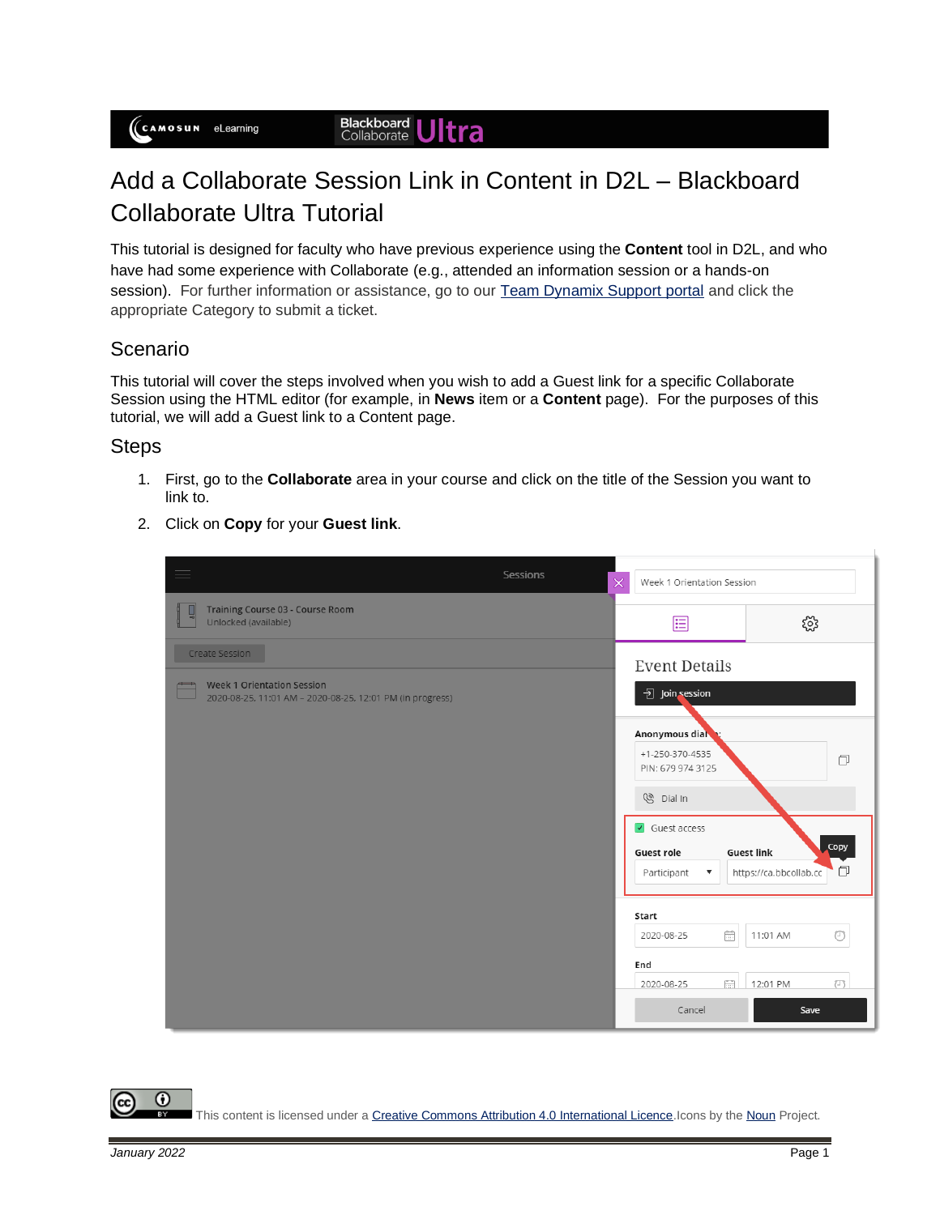## Add a Collaborate Session Link in Content in D2L – Blackboard Collaborate Ultra Tutorial

This tutorial is designed for faculty who have previous experience using the **Content** tool in D2L, and who have had some experience with Collaborate (e.g., attended an information session or a hands-on session). For further information or assistance, go to our [Team Dynamix Support portal](https://camosun.teamdynamix.com/TDClient/67/Portal/Requests/ServiceCatalog?CategoryID=523) and click the appropriate Category to submit a ticket.

## Scenario

This tutorial will cover the steps involved when you wish to add a Guest link for a specific Collaborate Session using the HTML editor (for example, in **News** item or a **Content** page). For the purposes of this tutorial, we will add a Guest link to a Content page.

## **Steps**

- 1. First, go to the **Collaborate** area in your course and click on the title of the Session you want to link to.
- 2. Click on **Copy** for your **Guest link**.

| $\equiv$                                                                                                         | Sessions<br>× | Week 1 Orientation Session                                                             |                                                                 |  |
|------------------------------------------------------------------------------------------------------------------|---------------|----------------------------------------------------------------------------------------|-----------------------------------------------------------------|--|
| Training Course 03 - Course Room<br>Unlocked (available)                                                         |               | 囯                                                                                      | ૹૢ૽ૺ                                                            |  |
| Create Session<br><b>Week 1 Orientation Session</b><br>2020-08-25, 11:01 AM - 2020-08-25, 12:01 PM (in progress) |               | <b>Event Details</b><br><b>권</b> Join session                                          |                                                                 |  |
|                                                                                                                  |               | Anonymous dial<br>$+1 - 250 - 370 - 4535$<br>PIN: 679 974 3125<br><sup>⑧</sup> Dial In | $\Box$                                                          |  |
|                                                                                                                  |               | $\sqrt{ }$ Guest access<br>Guest role<br>Participant<br>$\blacktriangledown$           | <b>Copy</b><br><b>Guest link</b><br>O<br>https://ca.bbcollab.cc |  |
|                                                                                                                  |               | Start<br>fiil<br>2020-08-25                                                            | 11:01 AM<br>⊙                                                   |  |
|                                                                                                                  |               | End<br>for a<br>2020-08-25<br>Cancel                                                   | $(\top)$<br>12:01 PM<br>Save                                    |  |

 $\boldsymbol{\omega}$ This content is licensed under [a Creative Commons Attribution 4.0 International Licence.I](https://creativecommons.org/licenses/by/4.0/)cons by th[e Noun](https://creativecommons.org/website-icons/) Project.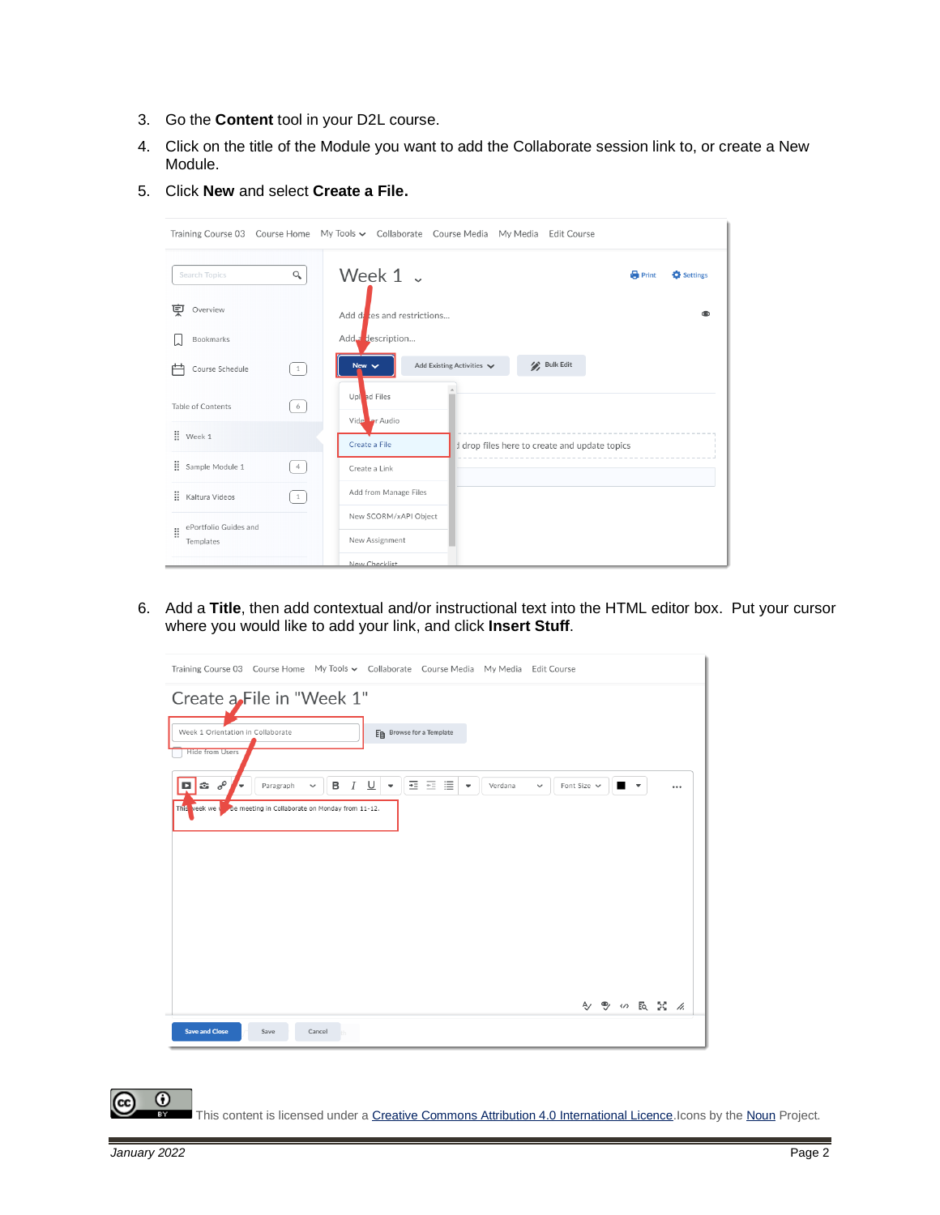- 3. Go the **Content** tool in your D2L course.
- 4. Click on the title of the Module you want to add the Collaborate session link to, or create a New Module.
- 5. Click **New** and select **Create a File.**

|                                         |              | Training Course 03 Course Home My Tools v Collaborate Course Media My Media Edit Course |
|-----------------------------------------|--------------|-----------------------------------------------------------------------------------------|
| Search Topics                           | Q            | Week $1 \times$<br><b>Print</b><br>Settings                                             |
| 호<br>Overview                           |              | Add dites and restrictions                                                              |
| Bookmarks                               |              | Add a description                                                                       |
| Course Schedule                         | $\mathbf{1}$ | <b>Bulk Edit</b><br>Add Existing Activities V<br>New $\vee$                             |
| Table of Contents                       | 6            | Upl ad Files<br>Vide or Audio                                                           |
| $\ddot{\text{ii}}$ Week 1               |              | Create a File<br>I drop files here to create and update topics                          |
| ÷.<br>Sample Module 1                   | $4 -$        | Create a Link                                                                           |
| Ħ.<br>Kaltura Videos                    | $\mathbf{1}$ | Add from Manage Files                                                                   |
| ePortfolio Guides and<br>õ<br>Templates |              | New SCORM/xAPI Object<br>New Assignment                                                 |
|                                         |              | New Checklist                                                                           |

6. Add a **Title**, then add contextual and/or instructional text into the HTML editor box. Put your cursor where you would like to add your link, and click **Insert Stuff**.

| Training Course 03 Course Home My Tools v Collaborate Course Media My Media Edit Course                                                                                                                                                                                                                               |  |
|-----------------------------------------------------------------------------------------------------------------------------------------------------------------------------------------------------------------------------------------------------------------------------------------------------------------------|--|
| Create a File in "Week 1"<br>En Browse for a Template<br>Week 1 Orientation in Collaborate<br><b>Hide from Users</b>                                                                                                                                                                                                  |  |
| $\sigma^{\!\mathcal{O}}$<br>亖<br>這<br>三<br>в<br>$\boldsymbol{I}$<br>⊻<br>D.<br>to.<br>Verdana<br>Font Size $\sim$<br>$\blacksquare$<br>Paragraph<br>$\check{~}$<br>$\overline{\phantom{a}}$<br>$\overline{\phantom{a}}$<br>$\checkmark$<br>÷<br><br>This veek we v<br>be meeting in Collaborate on Monday from 11-12. |  |
| A → の d X /                                                                                                                                                                                                                                                                                                           |  |
| <b>Save and Close</b><br>Save<br>Cancel                                                                                                                                                                                                                                                                               |  |

This content is licensed under [a Creative Commons Attribution 4.0 International Licence.I](https://creativecommons.org/licenses/by/4.0/)cons by th[e Noun](https://creativecommons.org/website-icons/) Project.

 $\odot$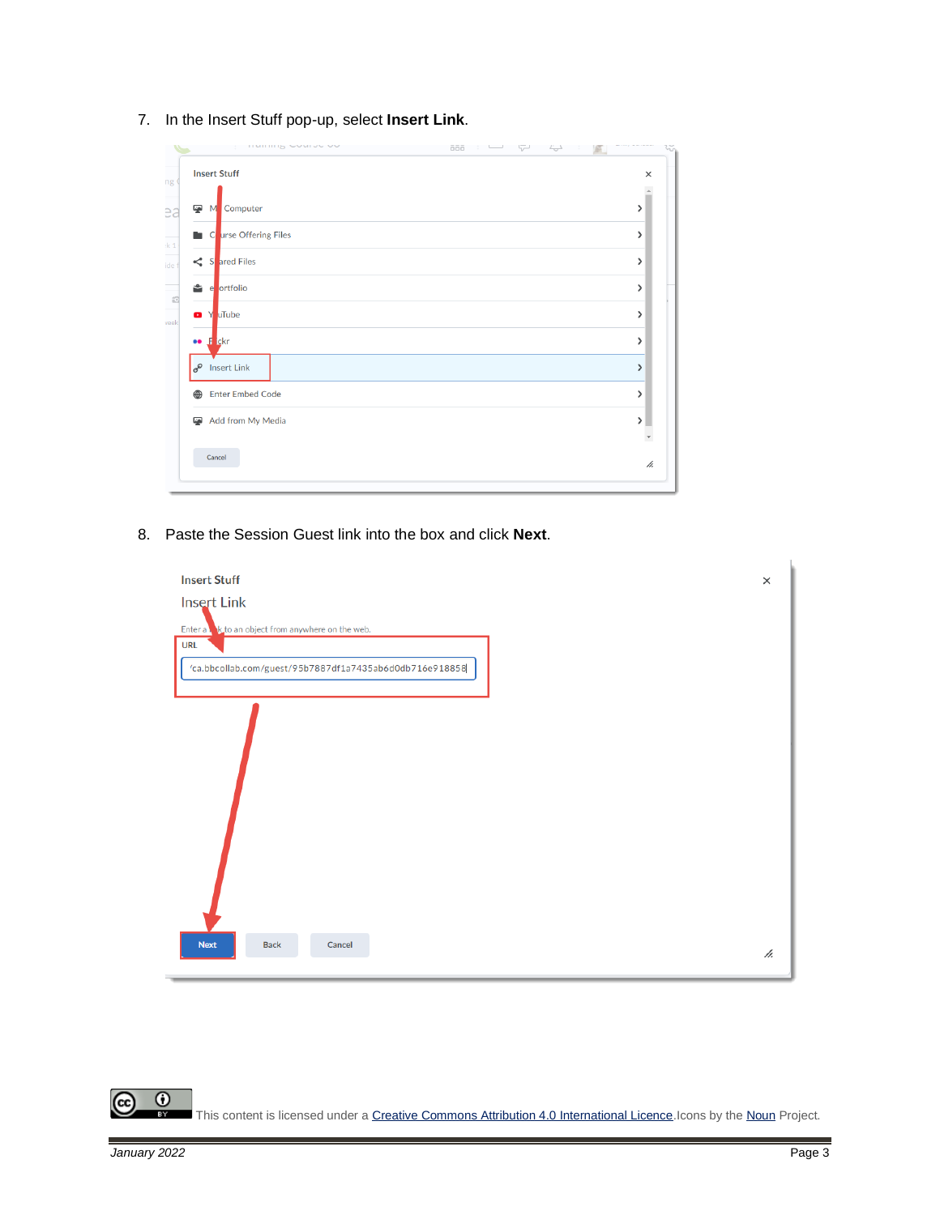7. In the Insert Stuff pop-up, select **Insert Link**.

|  | $\times$ |
|--|----------|
|  |          |
|  | >        |
|  | >        |
|  | >        |
|  | >        |
|  | >        |
|  | >        |
|  | ⋋        |
|  | >        |
|  | Y        |
|  |          |
|  | h.       |
|  |          |

8. Paste the Session Guest link into the box and click **Next**.



 $\overline{0}$ (cc This content is licensed under a Creative Commons Attribution 4.0 International Licence. Icons by th[e Noun](https://creativecommons.org/website-icons/) Project.